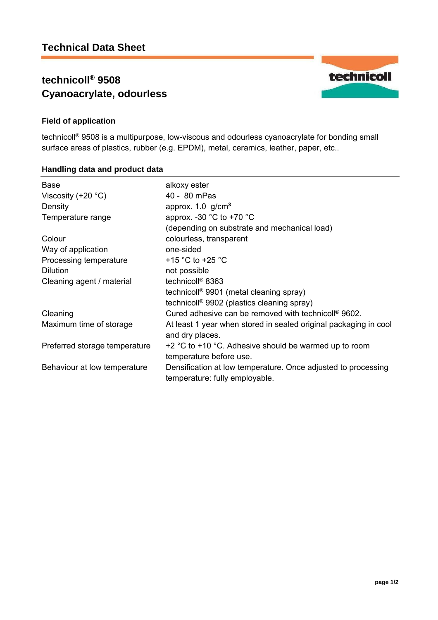# **technicoll® 9508 Cyanoacrylate, odourless**



## **Field of application**

technicoll® 9508 is a multipurpose, low-viscous and odourless cyanoacrylate for bonding small surface areas of plastics, rubber (e.g. EPDM), metal, ceramics, leather, paper, etc..

#### **Handling data and product data**

| <b>Base</b>                   | alkoxy ester                                                                                    |
|-------------------------------|-------------------------------------------------------------------------------------------------|
| Viscosity $(+20 °C)$          | 40 - 80 mPas                                                                                    |
| Density                       | approx. $1.0$ g/cm <sup>3</sup>                                                                 |
| Temperature range             | approx. -30 $^{\circ}$ C to +70 $^{\circ}$ C                                                    |
|                               | (depending on substrate and mechanical load)                                                    |
| Colour                        | colourless, transparent                                                                         |
| Way of application            | one-sided                                                                                       |
| Processing temperature        | +15 $\degree$ C to +25 $\degree$ C                                                              |
| <b>Dilution</b>               | not possible                                                                                    |
| Cleaning agent / material     | technicoll <sup>®</sup> 8363                                                                    |
|                               | technicoll <sup>®</sup> 9901 (metal cleaning spray)                                             |
|                               | technicoll <sup>®</sup> 9902 (plastics cleaning spray)                                          |
| Cleaning                      | Cured adhesive can be removed with technicoll <sup>®</sup> 9602.                                |
| Maximum time of storage       | At least 1 year when stored in sealed original packaging in cool<br>and dry places.             |
| Preferred storage temperature | $+2$ °C to $+10$ °C. Adhesive should be warmed up to room<br>temperature before use.            |
| Behaviour at low temperature  | Densification at low temperature. Once adjusted to processing<br>temperature: fully employable. |